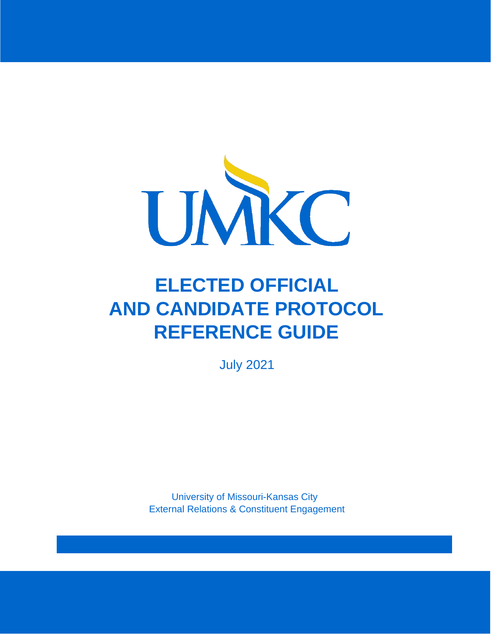

# **ELECTED OFFICIAL AND CANDIDATE PROTOCOL REFERENCE GUIDE**

July 2021

University of Missouri-Kansas City External Relations & Constituent Engagement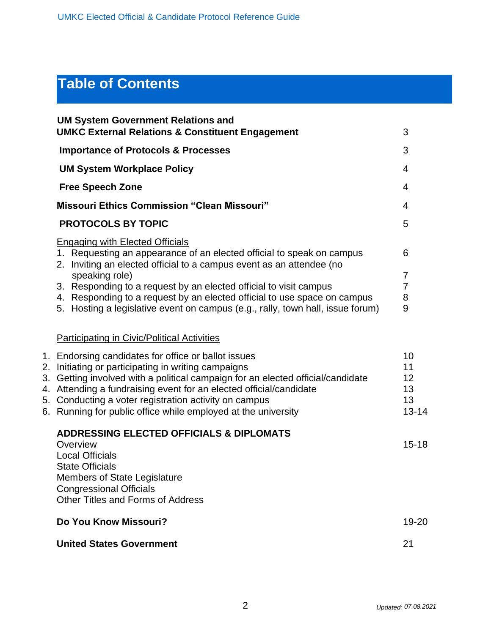## **Table of Contents**

| <b>UM System Government Relations and</b><br><b>UMKC External Relations &amp; Constituent Engagement</b>                                                                                                                                                                                                                                                                                                                                     | 3                                       |
|----------------------------------------------------------------------------------------------------------------------------------------------------------------------------------------------------------------------------------------------------------------------------------------------------------------------------------------------------------------------------------------------------------------------------------------------|-----------------------------------------|
| <b>Importance of Protocols &amp; Processes</b>                                                                                                                                                                                                                                                                                                                                                                                               | 3                                       |
| <b>UM System Workplace Policy</b>                                                                                                                                                                                                                                                                                                                                                                                                            | 4                                       |
| <b>Free Speech Zone</b>                                                                                                                                                                                                                                                                                                                                                                                                                      | $\overline{4}$                          |
| <b>Missouri Ethics Commission "Clean Missouri"</b>                                                                                                                                                                                                                                                                                                                                                                                           | 4                                       |
| <b>PROTOCOLS BY TOPIC</b>                                                                                                                                                                                                                                                                                                                                                                                                                    | 5                                       |
| <b>Engaging with Elected Officials</b><br>1. Requesting an appearance of an elected official to speak on campus<br>2. Inviting an elected official to a campus event as an attendee (no<br>speaking role)<br>3. Responding to a request by an elected official to visit campus<br>4. Responding to a request by an elected official to use space on campus<br>5. Hosting a legislative event on campus (e.g., rally, town hall, issue forum) | 6<br>7<br>$\overline{7}$<br>8<br>9      |
| <b>Participating in Civic/Political Activities</b>                                                                                                                                                                                                                                                                                                                                                                                           |                                         |
| 1. Endorsing candidates for office or ballot issues<br>2. Initiating or participating in writing campaigns<br>3. Getting involved with a political campaign for an elected official/candidate<br>4. Attending a fundraising event for an elected official/candidate<br>5. Conducting a voter registration activity on campus<br>6. Running for public office while employed at the university                                                | 10<br>11<br>12<br>13<br>13<br>$13 - 14$ |
| <b>ADDRESSING ELECTED OFFICIALS &amp; DIPLOMATS</b><br>Overview<br><b>Local Officials</b><br><b>State Officials</b><br><b>Members of State Legislature</b><br><b>Congressional Officials</b><br><b>Other Titles and Forms of Address</b>                                                                                                                                                                                                     | $15 - 18$                               |
| Do You Know Missouri?                                                                                                                                                                                                                                                                                                                                                                                                                        | 19-20                                   |
| <b>United States Government</b>                                                                                                                                                                                                                                                                                                                                                                                                              | 21                                      |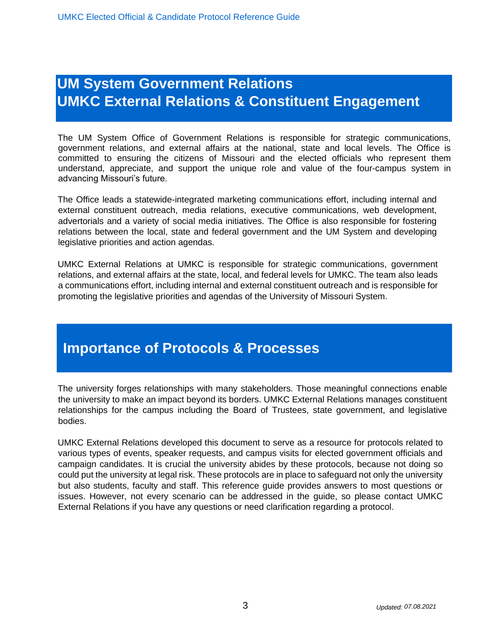## **UM System Government Relations UMKC External Relations & Constituent Engagement**

The UM System Office of Government Relations is responsible for strategic communications, government relations, and external affairs at the national, state and local levels. The Office is committed to ensuring the citizens of Missouri and the elected officials who represent them understand, appreciate, and support the unique role and value of the four-campus system in advancing Missouri's future.

The Office leads a statewide-integrated marketing communications effort, including internal and external constituent outreach, media relations, executive communications, web development, advertorials and a variety of social media initiatives. The Office is also responsible for fostering relations between the local, state and federal government and the UM System and developing legislative priorities and action agendas.

UMKC External Relations at UMKC is responsible for strategic communications, government relations, and external affairs at the state, local, and federal levels for UMKC. The team also leads a communications effort, including internal and external constituent outreach and is responsible for promoting the legislative priorities and agendas of the University of Missouri System.

## **Importance of Protocols & Processes**

The university forges relationships with many stakeholders. Those meaningful connections enable the university to make an impact beyond its borders. UMKC External Relations manages constituent relationships for the campus including the Board of Trustees, state government, and legislative bodies.

UMKC External Relations developed this document to serve as a resource for protocols related to various types of events, speaker requests, and campus visits for elected government officials and campaign candidates. It is crucial the university abides by these protocols, because not doing so could put the university at legal risk. These protocols are in place to safeguard not only the university but also students, faculty and staff. This reference guide provides answers to most questions or issues. However, not every scenario can be addressed in the guide, so please contact UMKC External Relations if you have any questions or need clarification regarding a protocol.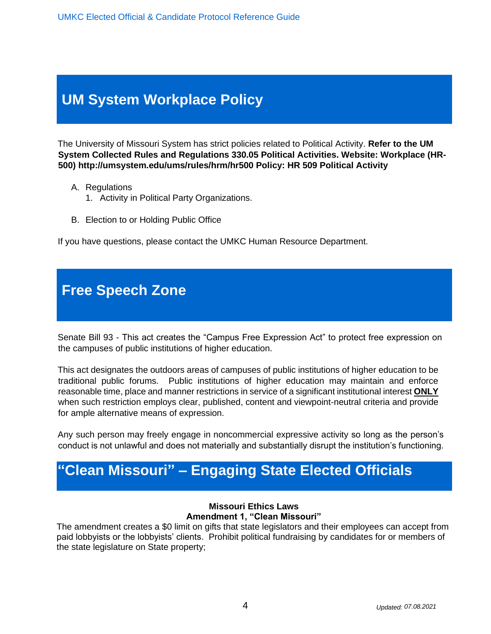UMKC Elected Official & Candidate Protocol Reference Guide

## **UM System Workplace Policy**

The University of Missouri System has strict policies related to Political Activity. **Refer to the UM System Collected Rules and Regulations 330.05 Political Activities. Website: Workplace (HR-500) http://umsystem.edu/ums/rules/hrm/hr500 Policy: HR 509 Political Activity** 

- A. Regulations
	- 1. Activity in Political Party Organizations.
- B. Election to or Holding Public Office

If you have questions, please contact the UMKC Human Resource Department.

## **Free Speech Zone**

Senate Bill 93 - This act creates the "Campus Free Expression Act" to protect free expression on the campuses of public institutions of higher education.

This act designates the outdoors areas of campuses of public institutions of higher education to be traditional public forums. Public institutions of higher education may maintain and enforce reasonable time, place and manner restrictions in service of a significant institutional interest **ONLY** when such restriction employs clear, published, content and viewpoint-neutral criteria and provide for ample alternative means of expression.

Any such person may freely engage in noncommercial expressive activity so long as the person's conduct is not unlawful and does not materially and substantially disrupt the institution's functioning.

## **"Clean Missouri" – Engaging State Elected Officials**

#### **Missouri Ethics Laws Amendment 1, "Clean Missouri"**

The amendment creates a \$0 limit on gifts that state legislators and their employees can accept from paid lobbyists or the lobbyists' clients. Prohibit political fundraising by candidates for or members of the state legislature on State property;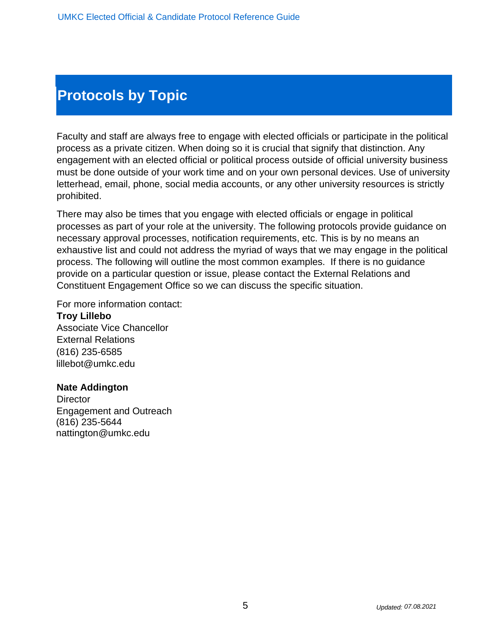## **Protocols by Topic**

Faculty and staff are always free to engage with elected officials or participate in the political process as a private citizen. When doing so it is crucial that signify that distinction. Any engagement with an elected official or political process outside of official university business must be done outside of your work time and on your own personal devices. Use of university letterhead, email, phone, social media accounts, or any other university resources is strictly prohibited.

There may also be times that you engage with elected officials or engage in political processes as part of your role at the university. The following protocols provide guidance on necessary approval processes, notification requirements, etc. This is by no means an exhaustive list and could not address the myriad of ways that we may engage in the political process. The following will outline the most common examples. If there is no guidance provide on a particular question or issue, please contact the External Relations and Constituent Engagement Office so we can discuss the specific situation.

For more information contact:

**Troy Lillebo**  Associate Vice Chancellor External Relations (816) 235-6585 lillebot@umkc.edu

#### **Nate Addington**

**Director** Engagement and Outreach (816) 235-5644 nattington@umkc.edu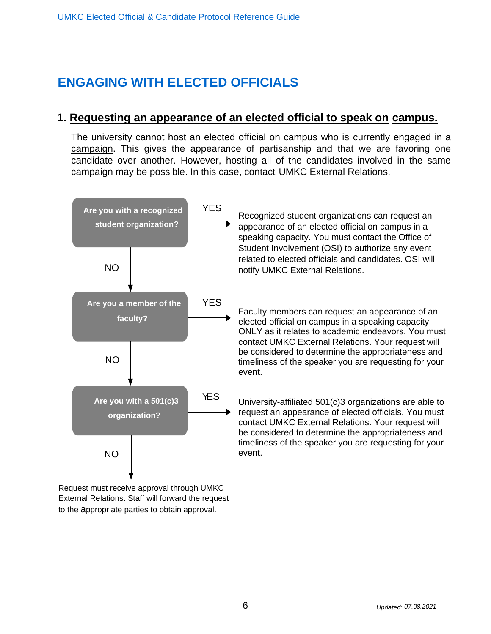## **ENGAGING WITH ELECTED OFFICIALS**

### **1. Requesting an appearance of an elected official to speak on campus.**

The university cannot host an elected official on campus who is currently engaged in a campaign. This gives the appearance of partisanship and that we are favoring one candidate over another. However, hosting all of the candidates involved in the same campaign may be possible. In this case, contact UMKC External Relations.



Recognized student organizations can request an appearance of an elected official on campus in a speaking capacity. You must contact the Office of Student Involvement (OSI) to authorize any event related to elected officials and candidates. OSI will notify UMKC External Relations.

Faculty members can request an appearance of an elected official on campus in a speaking capacity ONLY as it relates to academic endeavors. You must contact UMKC External Relations. Your request will be considered to determine the appropriateness and timeliness of the speaker you are requesting for your event.

University-affiliated 501(c)3 organizations are able to request an appearance of elected officials. You must contact UMKC External Relations. Your request will be considered to determine the appropriateness and timeliness of the speaker you are requesting for your event.

Request must receive approval through UMKC External Relations. Staff will forward the request to the appropriate parties to obtain approval.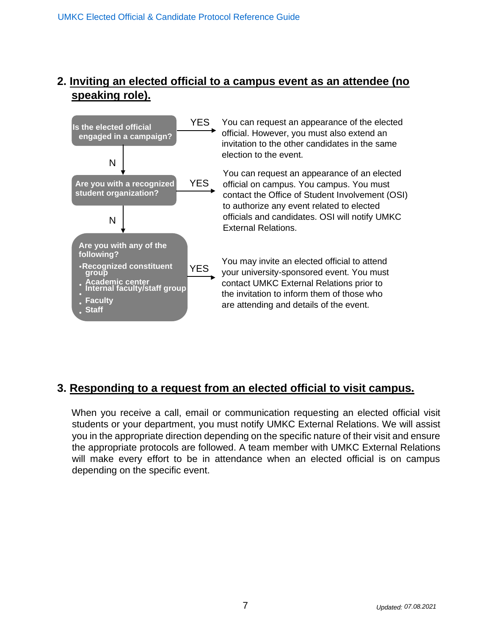## **2. Inviting an elected official to a campus event as an attendee (no speaking role).**



## **3. Responding to a request from an elected official to visit campus.**

When you receive a call, email or communication requesting an elected official visit students or your department, you must notify UMKC External Relations. We will assist you in the appropriate direction depending on the specific nature of their visit and ensure the appropriate protocols are followed. A team member with UMKC External Relations will make every effort to be in attendance when an elected official is on campus depending on the specific event.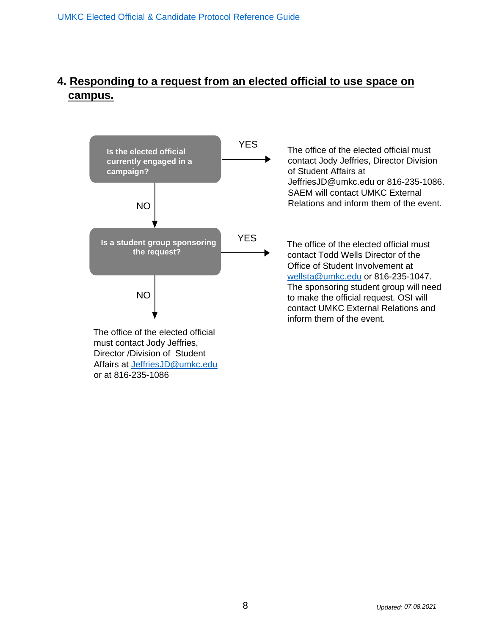## **4. Responding to a request from an elected official to use space on campus.**



or at 816-235-1086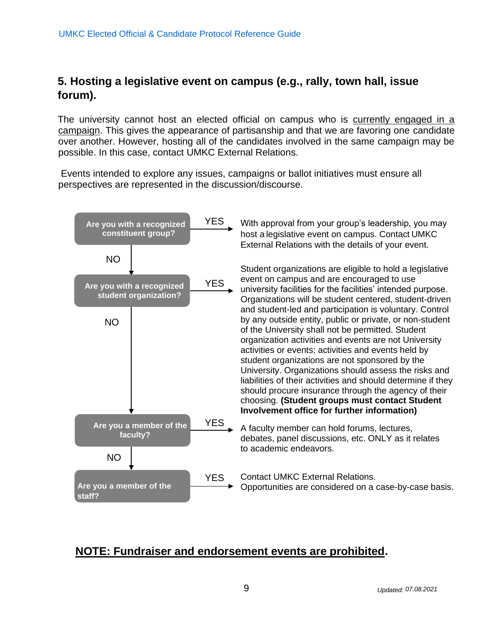## **5. Hosting a legislative event on campus (e.g., rally, town hall, issue forum).**

The university cannot host an elected official on campus who is currently engaged in a campaign. This gives the appearance of partisanship and that we are favoring one candidate over another. However, hosting all of the candidates involved in the same campaign may be possible. In this case, contact UMKC External Relations.

Events intended to explore any issues, campaigns or ballot initiatives must ensure all perspectives are represented in the discussion/discourse.



With approval from your group's leadership, you may host a legislative event on campus. Contact UMKC External Relations with the details of your event.

Student organizations are eligible to hold a legislative event on campus and are encouraged to use university facilities for the facilities' intended purpose. Organizations will be student centered, student-driven and student-led and participation is voluntary. Control by any outside entity, public or private, or non-student of the University shall not be permitted. Student organization activities and events are not University activities or events; activities and events held by student organizations are not sponsored by the University. Organizations should assess the risks and liabilities of their activities and should determine if they should procure insurance through the agency of their choosing. **(Student groups must contact Student Involvement office for further information)**

A faculty member can hold forums, lectures, debates, panel discussions, etc. ONLY as it relates to academic endeavors.

Contact UMKC External Relations. Opportunities are considered on a case-by-case basis.

## **NOTE: Fundraiser and endorsement events are prohibited.**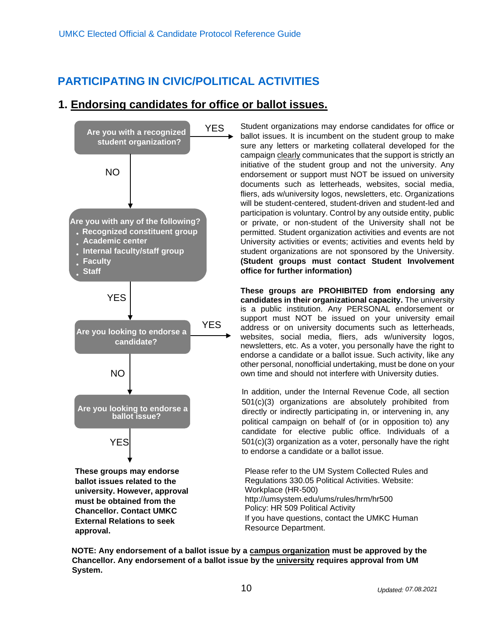## **PARTICIPATING IN CIVIC/POLITICAL ACTIVITIES**

### **1. Endorsing candidates for office or ballot issues.**



**approval.** 

Student organizations may endorse candidates for office or ballot issues. It is incumbent on the student group to make sure any letters or marketing collateral developed for the campaign clearly communicates that the support is strictly an initiative of the student group and not the university. Any endorsement or support must NOT be issued on university documents such as letterheads, websites, social media, fliers, ads w/university logos, newsletters, etc. Organizations will be student-centered, student-driven and student-led and participation is voluntary. Control by any outside entity, public or private, or non-student of the University shall not be permitted. Student organization activities and events are not University activities or events; activities and events held by student organizations are not sponsored by the University. **(Student groups must contact Student Involvement office for further information)**

**These groups are PROHIBITED from endorsing any candidates in their organizational capacity.** The university is a public institution. Any PERSONAL endorsement or support must NOT be issued on your university email address or on university documents such as letterheads, websites, social media, fliers, ads w/university logos, newsletters, etc. As a voter, you personally have the right to endorse a candidate or a ballot issue. Such activity, like any other personal, nonofficial undertaking, must be done on your own time and should not interfere with University duties.

In addition, under the Internal Revenue Code, all section 501(c)(3) organizations are absolutely prohibited from directly or indirectly participating in, or intervening in, any political campaign on behalf of (or in opposition to) any candidate for elective public office. Individuals of a 501(c)(3) organization as a voter, personally have the right to endorse a candidate or a ballot issue.

Please refer to the UM System Collected Rules and Regulations 330.05 Political Activities. Website: Workplace (HR-500) http://umsystem.edu/ums/rules/hrm/hr500 Policy: HR 509 Political Activity If you have questions, contact the UMKC Human Resource Department.

**NOTE: Any endorsement of a ballot issue by a campus organization must be approved by the Chancellor. Any endorsement of a ballot issue by the university requires approval from UM System.**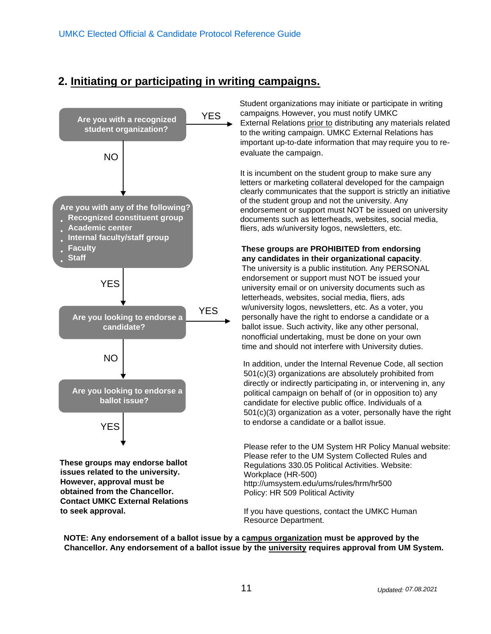### **2. Initiating or participating in writing campaigns.**



 Student organizations may initiate or participate in writing campaigns. However, you must notify UMKC External Relations prior to distributing any materials related to the writing campaign. UMKC External Relations has important up-to-date information that may require you to reevaluate the campaign.

It is incumbent on the student group to make sure any letters or marketing collateral developed for the campaign clearly communicates that the support is strictly an initiative of the student group and not the university. Any endorsement or support must NOT be issued on university documents such as letterheads, websites, social media, fliers, ads w/university logos, newsletters, etc.

#### **These groups are PROHIBITED from endorsing any candidates in their organizational capacity**.

The university is a public institution. Any PERSONAL endorsement or support must NOT be issued your university email or on university documents such as letterheads, websites, social media, fliers, ads w/university logos, newsletters, etc. As a voter, you personally have the right to endorse a candidate or a ballot issue. Such activity, like any other personal, nonofficial undertaking, must be done on your own time and should not interfere with University duties.

In addition, under the Internal Revenue Code, all section 501(c)(3) organizations are absolutely prohibited from directly or indirectly participating in, or intervening in, any political campaign on behalf of (or in opposition to) any candidate for elective public office. Individuals of a 501(c)(3) organization as a voter, personally have the right to endorse a candidate or a ballot issue.

Please refer to the UM System HR Policy Manual website: Please refer to the UM System Collected Rules and Regulations 330.05 Political Activities. Website: Workplace (HR-500) http://umsystem.edu/ums/rules/hrm/hr500 Policy: HR 509 Political Activity

If you have questions, contact the UMKC Human Resource Department.

**NOTE: Any endorsement of a ballot issue by a campus organization must be approved by the Chancellor. Any endorsement of a ballot issue by the university requires approval from UM System.**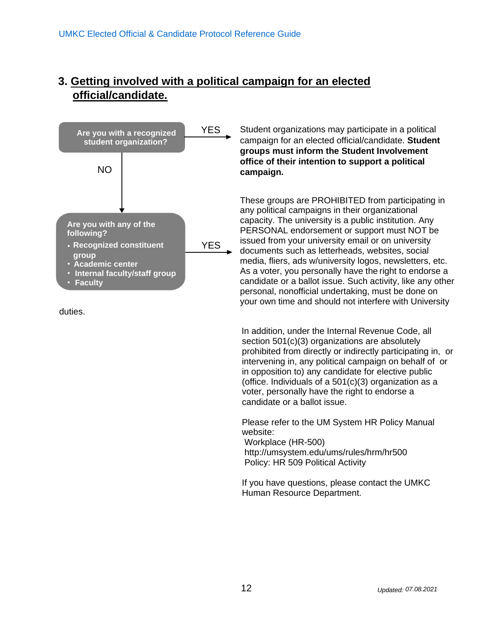### **3. Getting involved with a political campaign for an elected official/candidate.**



duties.

Student organizations may participate in a political campaign for an elected official/candidate. **Student groups must inform the Student Involvement office of their intention to support a political campaign.**

These groups are PROHIBITED from participating in any political campaigns in their organizational capacity. The university is a public institution. Any PERSONAL endorsement or support must NOT be issued from your university email or on university documents such as letterheads, websites, social media, fliers, ads w/university logos, newsletters, etc. As a voter, you personally have the right to endorse a candidate or a ballot issue. Such activity, like any other personal, nonofficial undertaking, must be done on your own time and should not interfere with University

In addition, under the Internal Revenue Code, all section 501(c)(3) organizations are absolutely prohibited from directly or indirectly participating in, or intervening in, any political campaign on behalf of or in opposition to) any candidate for elective public (office. Individuals of a 501(c)(3) organization as a voter, personally have the right to endorse a candidate or a ballot issue.

Please refer to the UM System HR Policy Manual website:

Workplace (HR-500) http://umsystem.edu/ums/rules/hrm/hr500 Policy: HR 509 Political Activity

If you have questions, please contact the UMKC Human Resource Department.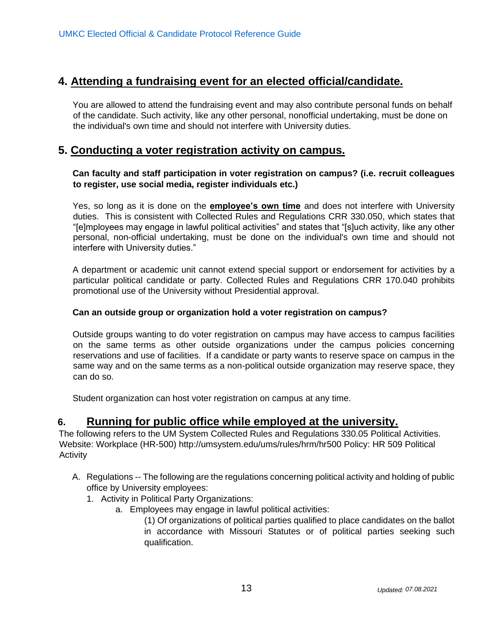### **4. Attending a fundraising event for an elected official/candidate.**

You are allowed to attend the fundraising event and may also contribute personal funds on behalf of the candidate. Such activity, like any other personal, nonofficial undertaking, must be done on the individual's own time and should not interfere with University duties.

### **5. Conducting a voter registration activity on campus.**

#### **Can faculty and staff participation in voter registration on campus? (i.e. recruit colleagues to register, use social media, register individuals etc.)**

Yes, so long as it is done on the **employee's own time** and does not interfere with University duties. This is consistent with Collected Rules and Regulations CRR 330.050, which states that "[e]mployees may engage in lawful political activities" and states that "[s]uch activity, like any other personal, non-official undertaking, must be done on the individual's own time and should not interfere with University duties."

A department or academic unit cannot extend special support or endorsement for activities by a particular political candidate or party. Collected Rules and Regulations CRR 170.040 prohibits promotional use of the University without Presidential approval.

#### **Can an outside group or organization hold a voter registration on campus?**

Outside groups wanting to do voter registration on campus may have access to campus facilities on the same terms as other outside organizations under the campus policies concerning reservations and use of facilities. If a candidate or party wants to reserve space on campus in the same way and on the same terms as a non-political outside organization may reserve space, they can do so.

Student organization can host voter registration on campus at any time.

### **6. Running for public office while employed at the university.**

The following refers to the UM System Collected Rules and Regulations 330.05 Political Activities. Website: Workplace (HR-500) http://umsystem.edu/ums/rules/hrm/hr500 Policy: HR 509 Political **Activity** 

- A. Regulations -- The following are the regulations concerning political activity and holding of public office by University employees:
	- 1. Activity in Political Party Organizations:
		- a. Employees may engage in lawful political activities:

(1) Of organizations of political parties qualified to place candidates on the ballot in accordance with Missouri Statutes or of political parties seeking such qualification.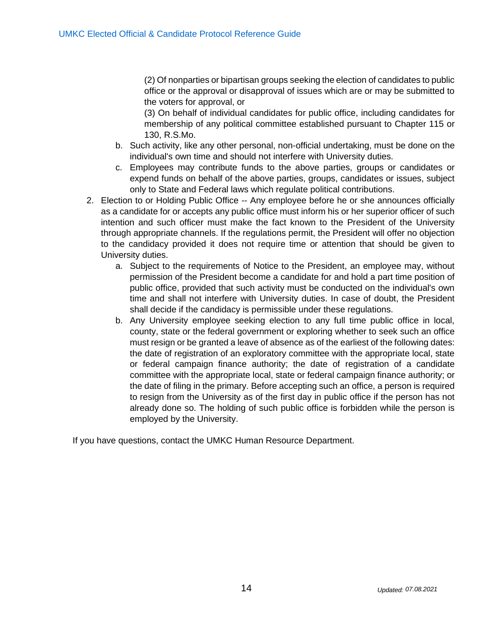(2) Of nonparties or bipartisan groups seeking the election of candidates to public office or the approval or disapproval of issues which are or may be submitted to the voters for approval, or

(3) On behalf of individual candidates for public office, including candidates for membership of any political committee established pursuant to Chapter 115 or 130, R.S.Mo.

- b. Such activity, like any other personal, non-official undertaking, must be done on the individual's own time and should not interfere with University duties.
- c. Employees may contribute funds to the above parties, groups or candidates or expend funds on behalf of the above parties, groups, candidates or issues, subject only to State and Federal laws which regulate political contributions.
- 2. Election to or Holding Public Office -- Any employee before he or she announces officially as a candidate for or accepts any public office must inform his or her superior officer of such intention and such officer must make the fact known to the President of the University through appropriate channels. If the regulations permit, the President will offer no objection to the candidacy provided it does not require time or attention that should be given to University duties.
	- a. Subject to the requirements of Notice to the President, an employee may, without permission of the President become a candidate for and hold a part time position of public office, provided that such activity must be conducted on the individual's own time and shall not interfere with University duties. In case of doubt, the President shall decide if the candidacy is permissible under these regulations.
	- b. Any University employee seeking election to any full time public office in local, county, state or the federal government or exploring whether to seek such an office must resign or be granted a leave of absence as of the earliest of the following dates: the date of registration of an exploratory committee with the appropriate local, state or federal campaign finance authority; the date of registration of a candidate committee with the appropriate local, state or federal campaign finance authority; or the date of filing in the primary. Before accepting such an office, a person is required to resign from the University as of the first day in public office if the person has not already done so. The holding of such public office is forbidden while the person is employed by the University.

If you have questions, contact the UMKC Human Resource Department.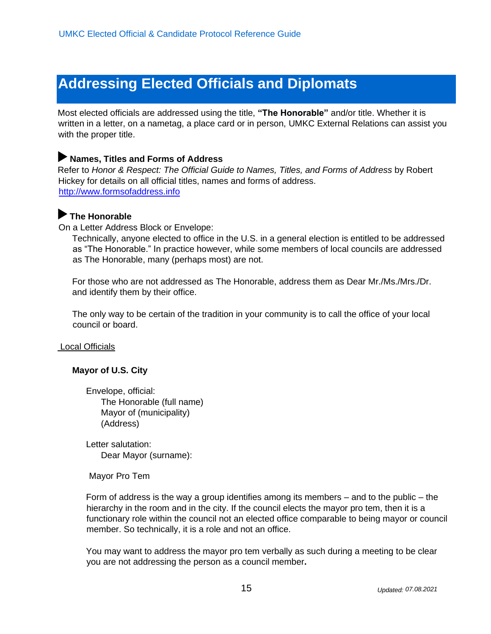## **Addressing Elected Officials and Diplomats**

Most elected officials are addressed using the title, **"The Honorable"** and/or title. Whether it is written in a letter, on a nametag, a place card or in person, UMKC External Relations can assist you with the proper title.

#### **Names, Titles and Forms of Address**

Refer to *Honor & Respect: The Official Guide to Names, Titles, and Forms of Address* by Robert Hickey for details on all official titles, names and forms of address. [http://www.formsofaddress.info](http://www.formsofaddress.info/)

### **The Honorable**

On a Letter Address Block or Envelope:

Technically, anyone elected to office in the U.S. in a general election is entitled to be addressed as "The Honorable." In practice however, while some members of local councils are addressed as The Honorable, many (perhaps most) are not.

For those who are not addressed as The Honorable, address them as Dear Mr./Ms./Mrs./Dr. and identify them by their office.

The only way to be certain of the tradition in your community is to call the office of your local council or board.

Local Officials

#### **Mayor of U.S. City**

Envelope, official: The Honorable (full name) Mayor of (municipality) (Address)

Letter salutation: Dear Mayor (surname):

Mayor Pro Tem

Form of address is the way a group identifies among its members – and to the public – the hierarchy in the room and in the city. If the council elects the mayor pro tem, then it is a functionary role within the council not an elected office comparable to being mayor or council member. So technically, it is a role and not an office.

You may want to address the mayor pro tem verbally as such during a meeting to be clear you are not addressing the person as a council member**.**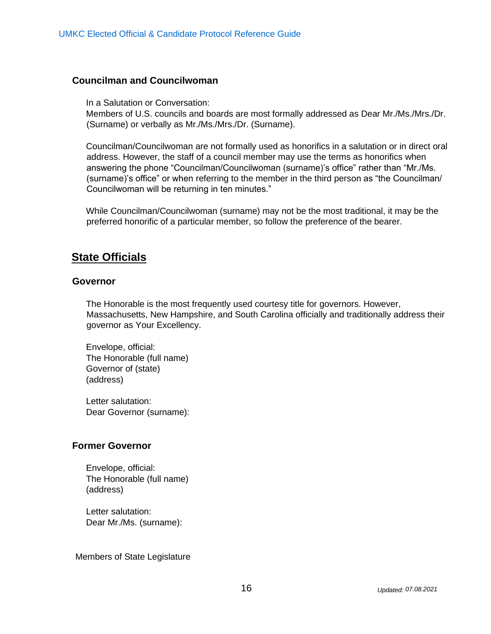#### **Councilman and Councilwoman**

In a Salutation or Conversation:

Members of U.S. councils and boards are most formally addressed as Dear Mr./Ms./Mrs./Dr. (Surname) or verbally as Mr./Ms./Mrs./Dr. (Surname).

Councilman/Councilwoman are not formally used as honorifics in a salutation or in direct oral address. However, the staff of a council member may use the terms as honorifics when answering the phone "Councilman/Councilwoman (surname)'s office" rather than "Mr./Ms. (surname)'s office" or when referring to the member in the third person as "the Councilman/ Councilwoman will be returning in ten minutes."

While Councilman/Councilwoman (surname) may not be the most traditional, it may be the preferred honorific of a particular member, so follow the preference of the bearer.

### **State Officials**

#### **Governor**

The Honorable is the most frequently used courtesy title for governors. However, Massachusetts, New Hampshire, and South Carolina officially and traditionally address their governor as Your Excellency.

Envelope, official: The Honorable (full name) Governor of (state) (address)

Letter salutation: Dear Governor (surname):

#### **Former Governor**

Envelope, official: The Honorable (full name) (address)

Letter salutation: Dear Mr./Ms. (surname):

Members of State Legislature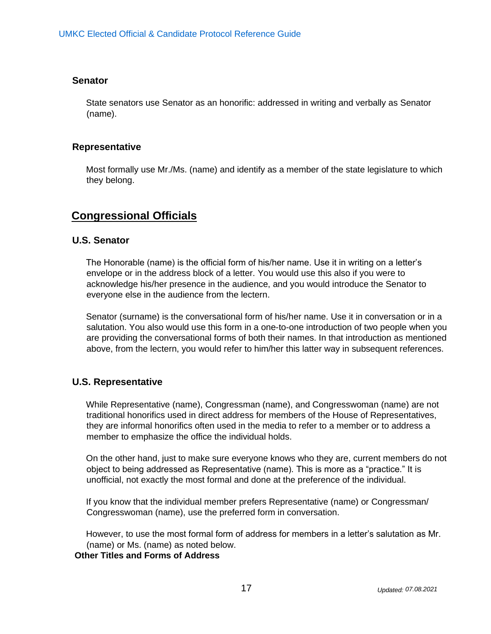#### **Senator**

State senators use Senator as an honorific: addressed in writing and verbally as Senator (name).

#### **Representative**

Most formally use Mr./Ms. (name) and identify as a member of the state legislature to which they belong.

### **Congressional Officials**

#### **U.S. Senator**

The Honorable (name) is the official form of his/her name. Use it in writing on a letter's envelope or in the address block of a letter. You would use this also if you were to acknowledge his/her presence in the audience, and you would introduce the Senator to everyone else in the audience from the lectern.

Senator (surname) is the conversational form of his/her name. Use it in conversation or in a salutation. You also would use this form in a one-to-one introduction of two people when you are providing the conversational forms of both their names. In that introduction as mentioned above, from the lectern, you would refer to him/her this latter way in subsequent references.

#### **U.S. Representative**

While Representative (name), Congressman (name), and Congresswoman (name) are not traditional honorifics used in direct address for members of the House of Representatives, they are informal honorifics often used in the media to refer to a member or to address a member to emphasize the office the individual holds.

On the other hand, just to make sure everyone knows who they are, current members do not object to being addressed as Representative (name). This is more as a "practice." It is unofficial, not exactly the most formal and done at the preference of the individual.

If you know that the individual member prefers Representative (name) or Congressman/ Congresswoman (name), use the preferred form in conversation.

However, to use the most formal form of address for members in a letter's salutation as Mr. (name) or Ms. (name) as noted below.

**Other Titles and Forms of Address**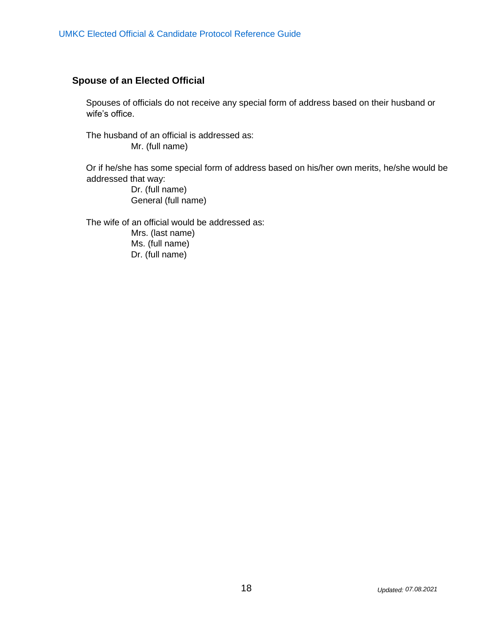### **Spouse of an Elected Official**

Spouses of officials do not receive any special form of address based on their husband or wife's office.

The husband of an official is addressed as: Mr. (full name)

Or if he/she has some special form of address based on his/her own merits, he/she would be addressed that way:

> Dr. (full name) General (full name)

The wife of an official would be addressed as: Mrs. (last name) Ms. (full name)

Dr. (full name)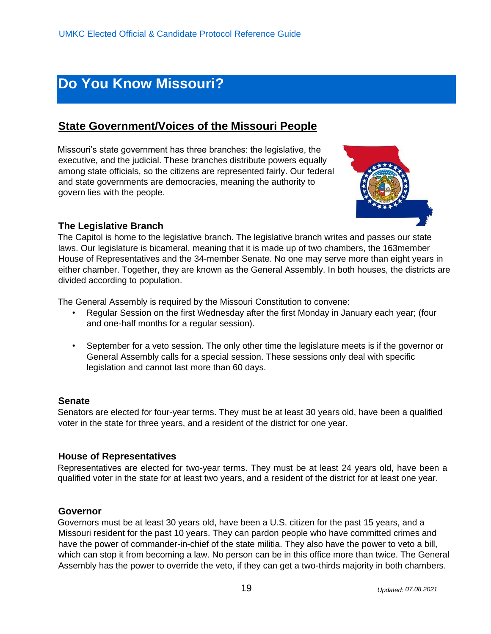## **Do You Know Missouri?**

## **State Government/Voices of the Missouri People**

Missouri's state government has three branches: the legislative, the executive, and the judicial. These branches distribute powers equally among state officials, so the citizens are represented fairly. Our federal and state governments are democracies, meaning the authority to govern lies with the people.



#### **The Legislative Branch**

The Capitol is home to the legislative branch. The legislative branch writes and passes our state laws. Our legislature is bicameral, meaning that it is made up of two chambers, the 163member House of Representatives and the 34-member Senate. No one may serve more than eight years in either chamber. Together, they are known as the General Assembly. In both houses, the districts are divided according to population.

The General Assembly is required by the Missouri Constitution to convene:

- Regular Session on the first Wednesday after the first Monday in January each year; (four and one-half months for a regular session).
- September for a veto session. The only other time the legislature meets is if the governor or General Assembly calls for a special session. These sessions only deal with specific legislation and cannot last more than 60 days.

#### **Senate**

Senators are elected for four-year terms. They must be at least 30 years old, have been a qualified voter in the state for three years, and a resident of the district for one year.

#### **House of Representatives**

Representatives are elected for two-year terms. They must be at least 24 years old, have been a qualified voter in the state for at least two years, and a resident of the district for at least one year.

#### **Governor**

Governors must be at least 30 years old, have been a U.S. citizen for the past 15 years, and a Missouri resident for the past 10 years. They can pardon people who have committed crimes and have the power of commander-in-chief of the state militia. They also have the power to veto a bill, which can stop it from becoming a law. No person can be in this office more than twice. The General Assembly has the power to override the veto, if they can get a two-thirds majority in both chambers.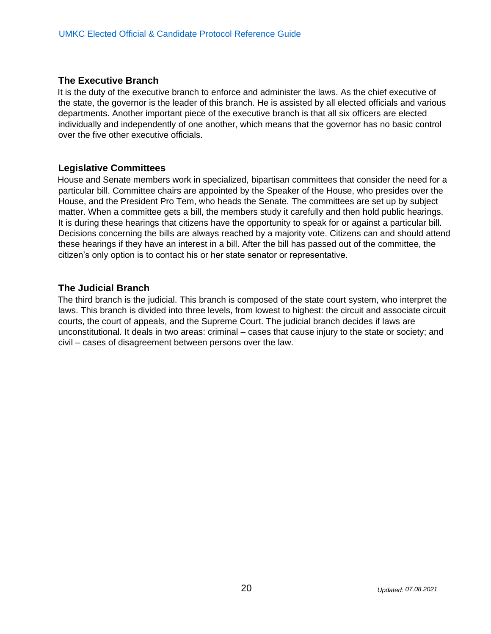#### **The Executive Branch**

It is the duty of the executive branch to enforce and administer the laws. As the chief executive of the state, the governor is the leader of this branch. He is assisted by all elected officials and various departments. Another important piece of the executive branch is that all six officers are elected individually and independently of one another, which means that the governor has no basic control over the five other executive officials.

#### **Legislative Committees**

House and Senate members work in specialized, bipartisan committees that consider the need for a particular bill. Committee chairs are appointed by the Speaker of the House, who presides over the House, and the President Pro Tem, who heads the Senate. The committees are set up by subject matter. When a committee gets a bill, the members study it carefully and then hold public hearings. It is during these hearings that citizens have the opportunity to speak for or against a particular bill. Decisions concerning the bills are always reached by a majority vote. Citizens can and should attend these hearings if they have an interest in a bill. After the bill has passed out of the committee, the citizen's only option is to contact his or her state senator or representative.

#### **The Judicial Branch**

The third branch is the judicial. This branch is composed of the state court system, who interpret the laws. This branch is divided into three levels, from lowest to highest: the circuit and associate circuit courts, the court of appeals, and the Supreme Court. The judicial branch decides if laws are unconstitutional. It deals in two areas: criminal – cases that cause injury to the state or society; and civil – cases of disagreement between persons over the law.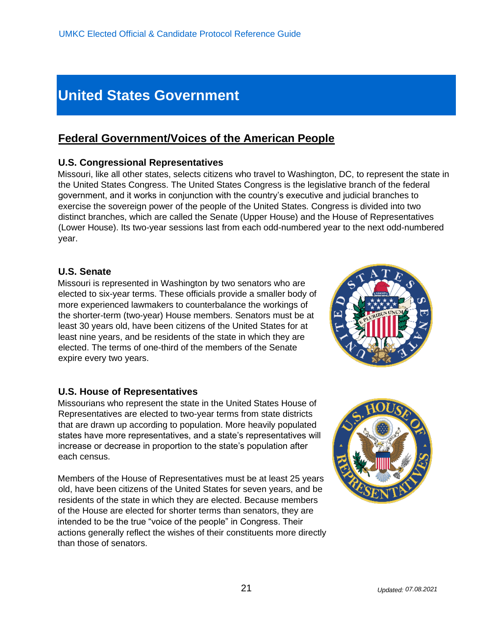## **United States Government**

## **Federal Government/Voices of the American People**

#### **U.S. Congressional Representatives**

Missouri, like all other states, selects citizens who travel to Washington, DC, to represent the state in the United States Congress. The United States Congress is the legislative branch of the federal government, and it works in conjunction with the country's executive and judicial branches to exercise the sovereign power of the people of the United States. Congress is divided into two distinct branches, which are called the Senate (Upper House) and the House of Representatives (Lower House). Its two-year sessions last from each odd-numbered year to the next odd-numbered year.

#### **U.S. Senate**

Missouri is represented in Washington by two senators who are elected to six-year terms. These officials provide a smaller body of more experienced lawmakers to counterbalance the workings of the shorter-term (two-year) House members. Senators must be at least 30 years old, have been citizens of the United States for at least nine years, and be residents of the state in which they are elected. The terms of one-third of the members of the Senate expire every two years.

#### **U.S. House of Representatives**

Missourians who represent the state in the United States House of Representatives are elected to two-year terms from state districts that are drawn up according to population. More heavily populated states have more representatives, and a state's representatives will increase or decrease in proportion to the state's population after each census.

Members of the House of Representatives must be at least 25 years old, have been citizens of the United States for seven years, and be residents of the state in which they are elected. Because members of the House are elected for shorter terms than senators, they are intended to be the true "voice of the people" in Congress. Their actions generally reflect the wishes of their constituents more directly than those of senators.